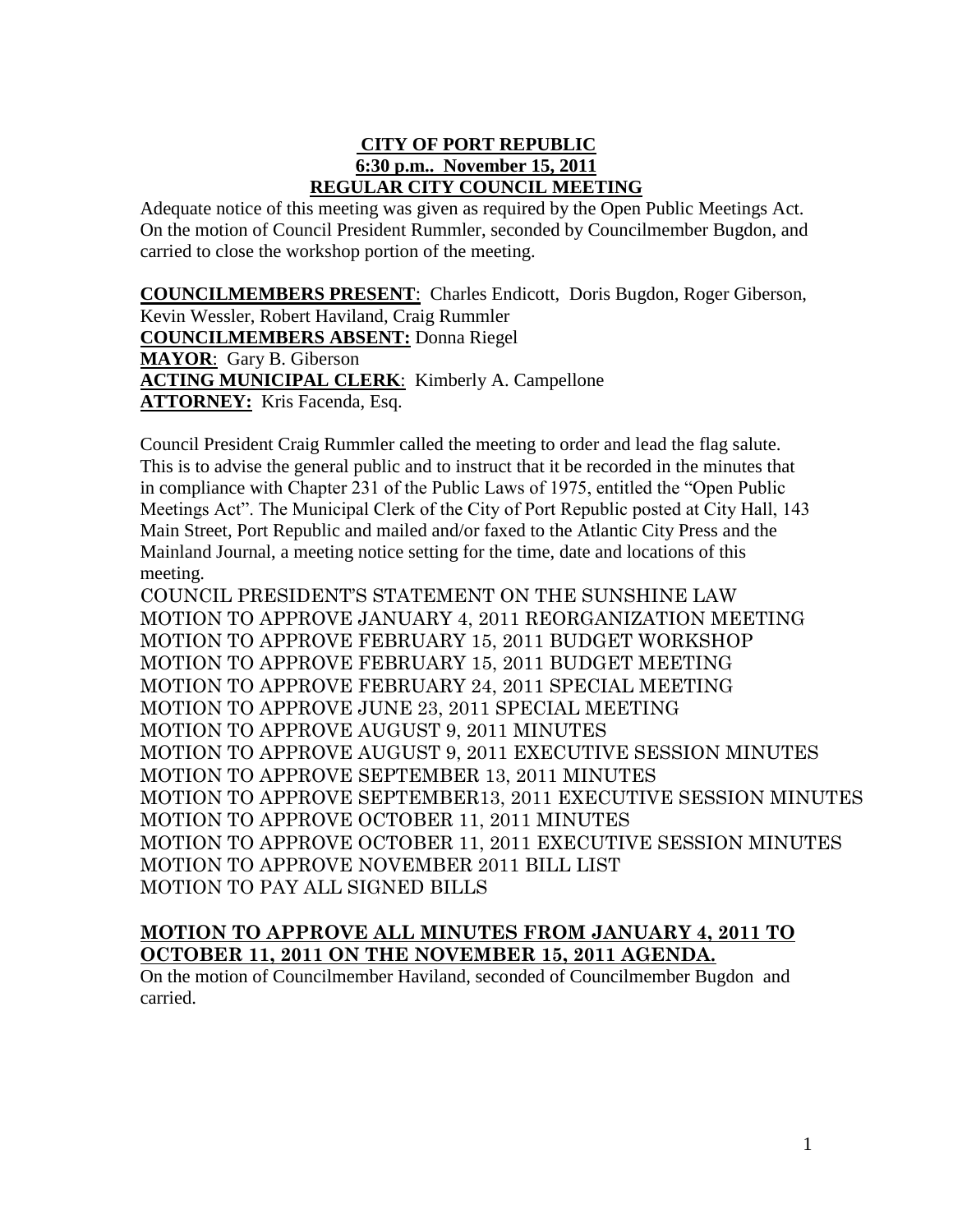### **CITY OF PORT REPUBLIC 6:30 p.m.. November 15, 2011 REGULAR CITY COUNCIL MEETING**

Adequate notice of this meeting was given as required by the Open Public Meetings Act. On the motion of Council President Rummler, seconded by Councilmember Bugdon, and carried to close the workshop portion of the meeting.

**COUNCILMEMBERS PRESENT**: Charles Endicott, Doris Bugdon, Roger Giberson, Kevin Wessler, Robert Haviland, Craig Rummler **COUNCILMEMBERS ABSENT:** Donna Riegel **MAYOR**: Gary B. Giberson **ACTING MUNICIPAL CLERK**: Kimberly A. Campellone **ATTORNEY:** Kris Facenda, Esq.

Council President Craig Rummler called the meeting to order and lead the flag salute. This is to advise the general public and to instruct that it be recorded in the minutes that in compliance with Chapter 231 of the Public Laws of 1975, entitled the "Open Public Meetings Act". The Municipal Clerk of the City of Port Republic posted at City Hall, 143 Main Street, Port Republic and mailed and/or faxed to the Atlantic City Press and the Mainland Journal, a meeting notice setting for the time, date and locations of this meeting.

COUNCIL PRESIDENT'S STATEMENT ON THE SUNSHINE LAW MOTION TO APPROVE JANUARY 4, 2011 REORGANIZATION MEETING MOTION TO APPROVE FEBRUARY 15, 2011 BUDGET WORKSHOP MOTION TO APPROVE FEBRUARY 15, 2011 BUDGET MEETING MOTION TO APPROVE FEBRUARY 24, 2011 SPECIAL MEETING MOTION TO APPROVE JUNE 23, 2011 SPECIAL MEETING MOTION TO APPROVE AUGUST 9, 2011 MINUTES MOTION TO APPROVE AUGUST 9, 2011 EXECUTIVE SESSION MINUTES MOTION TO APPROVE SEPTEMBER 13, 2011 MINUTES MOTION TO APPROVE SEPTEMBER13, 2011 EXECUTIVE SESSION MINUTES MOTION TO APPROVE OCTOBER 11, 2011 MINUTES MOTION TO APPROVE OCTOBER 11, 2011 EXECUTIVE SESSION MINUTES MOTION TO APPROVE NOVEMBER 2011 BILL LIST MOTION TO PAY ALL SIGNED BILLS

# **MOTION TO APPROVE ALL MINUTES FROM JANUARY 4, 2011 TO OCTOBER 11, 2011 ON THE NOVEMBER 15, 2011 AGENDA.**

On the motion of Councilmember Haviland, seconded of Councilmember Bugdon and carried.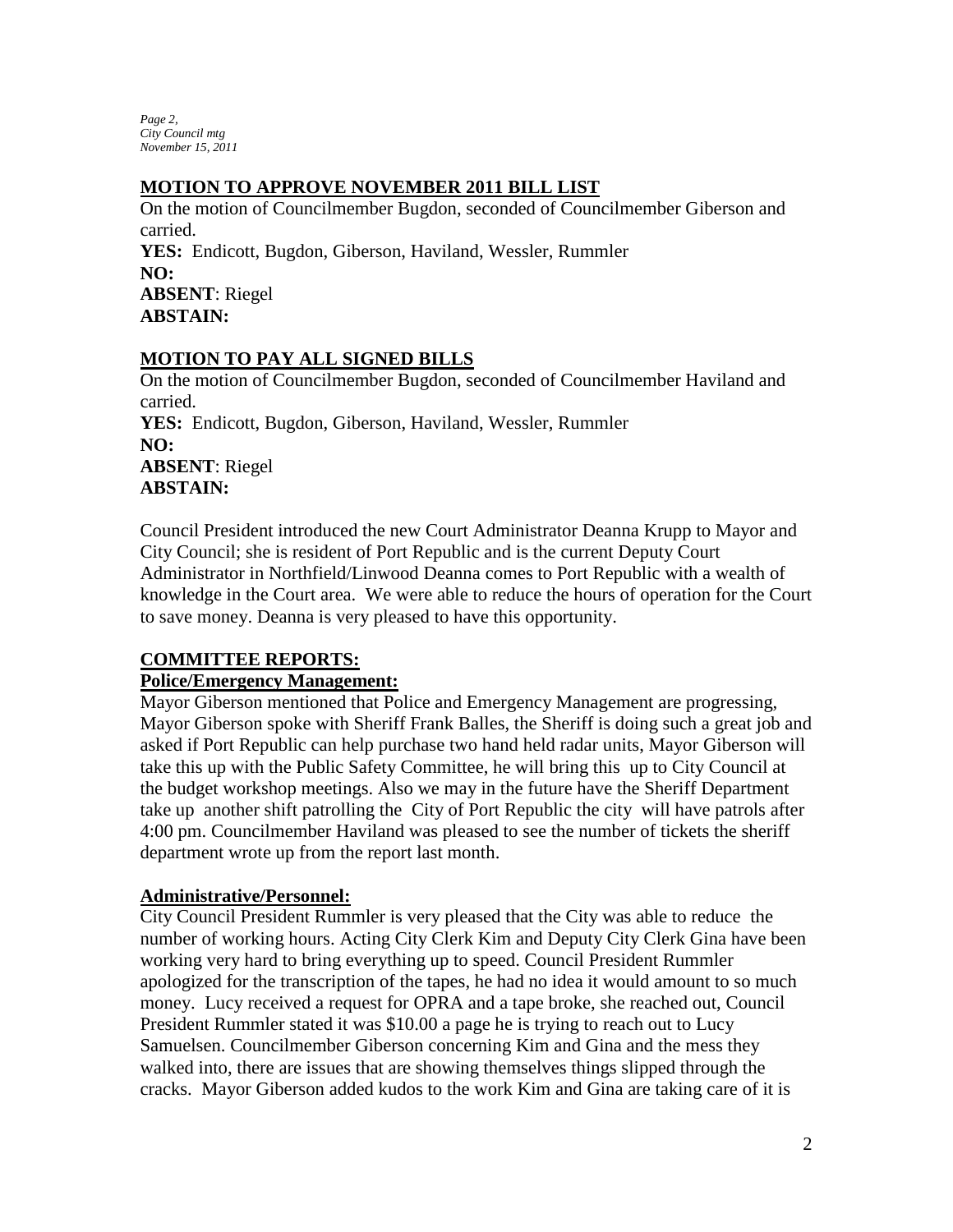*Page 2, City Council mtg November 15, 2011*

#### **MOTION TO APPROVE NOVEMBER 2011 BILL LIST**

On the motion of Councilmember Bugdon, seconded of Councilmember Giberson and carried. **YES:** Endicott, Bugdon, Giberson, Haviland, Wessler, Rummler **NO: ABSENT**: Riegel **ABSTAIN:** 

# **MOTION TO PAY ALL SIGNED BILLS**

On the motion of Councilmember Bugdon, seconded of Councilmember Haviland and carried. **YES:** Endicott, Bugdon, Giberson, Haviland, Wessler, Rummler **NO: ABSENT**: Riegel **ABSTAIN:** 

Council President introduced the new Court Administrator Deanna Krupp to Mayor and City Council; she is resident of Port Republic and is the current Deputy Court Administrator in Northfield/Linwood Deanna comes to Port Republic with a wealth of knowledge in the Court area. We were able to reduce the hours of operation for the Court to save money. Deanna is very pleased to have this opportunity.

#### **COMMITTEE REPORTS:**

#### **Police/Emergency Management:**

Mayor Giberson mentioned that Police and Emergency Management are progressing, Mayor Giberson spoke with Sheriff Frank Balles, the Sheriff is doing such a great job and asked if Port Republic can help purchase two hand held radar units, Mayor Giberson will take this up with the Public Safety Committee, he will bring this up to City Council at the budget workshop meetings. Also we may in the future have the Sheriff Department take up another shift patrolling the City of Port Republic the city will have patrols after 4:00 pm. Councilmember Haviland was pleased to see the number of tickets the sheriff department wrote up from the report last month.

#### **Administrative/Personnel:**

City Council President Rummler is very pleased that the City was able to reduce the number of working hours. Acting City Clerk Kim and Deputy City Clerk Gina have been working very hard to bring everything up to speed. Council President Rummler apologized for the transcription of the tapes, he had no idea it would amount to so much money. Lucy received a request for OPRA and a tape broke, she reached out, Council President Rummler stated it was \$10.00 a page he is trying to reach out to Lucy Samuelsen. Councilmember Giberson concerning Kim and Gina and the mess they walked into, there are issues that are showing themselves things slipped through the cracks. Mayor Giberson added kudos to the work Kim and Gina are taking care of it is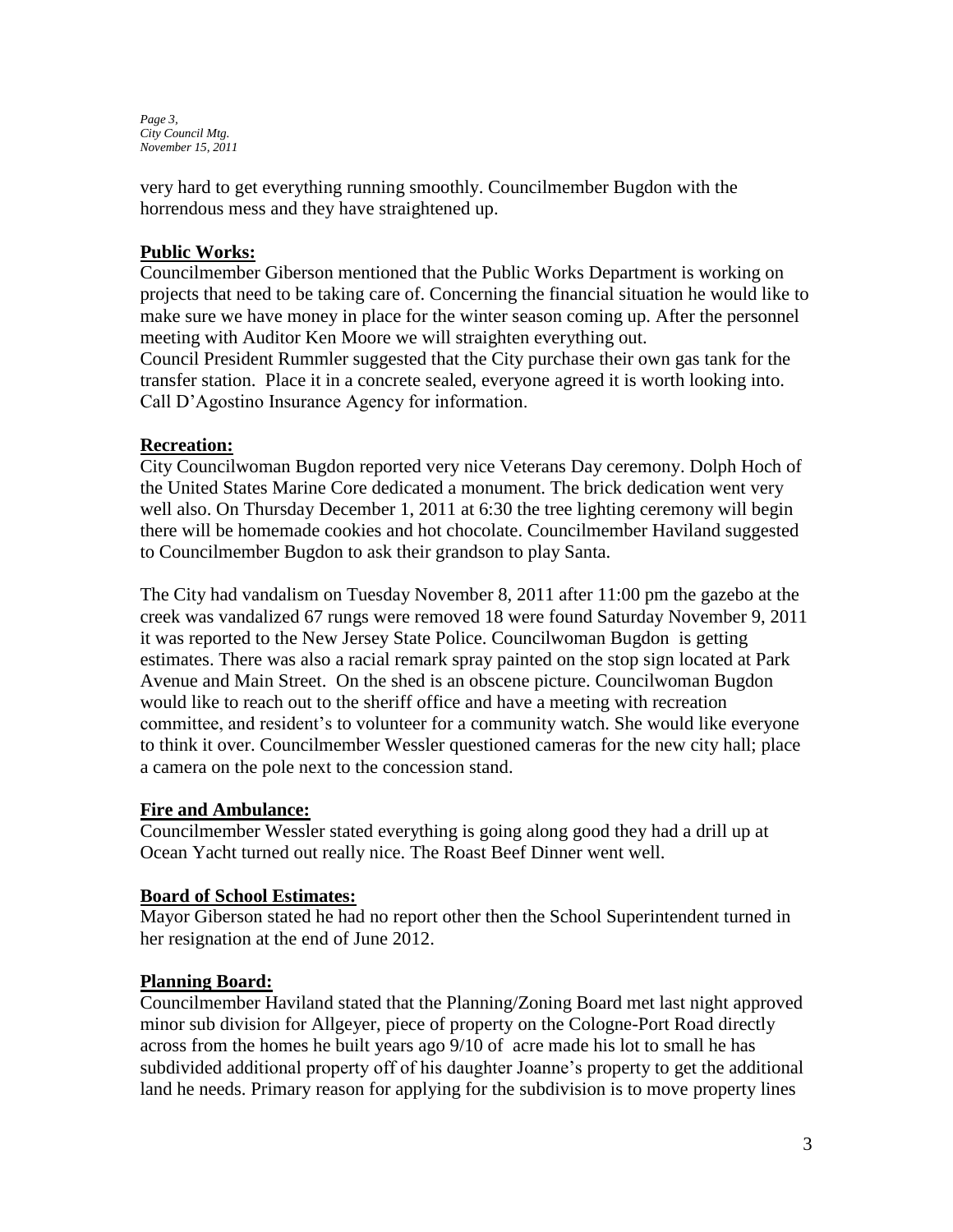*Page 3, City Council Mtg. November 15, 2011*

very hard to get everything running smoothly. Councilmember Bugdon with the horrendous mess and they have straightened up.

### **Public Works:**

Councilmember Giberson mentioned that the Public Works Department is working on projects that need to be taking care of. Concerning the financial situation he would like to make sure we have money in place for the winter season coming up. After the personnel meeting with Auditor Ken Moore we will straighten everything out. Council President Rummler suggested that the City purchase their own gas tank for the transfer station. Place it in a concrete sealed, everyone agreed it is worth looking into. Call D'Agostino Insurance Agency for information.

#### **Recreation:**

City Councilwoman Bugdon reported very nice Veterans Day ceremony. Dolph Hoch of the United States Marine Core dedicated a monument. The brick dedication went very well also. On Thursday December 1, 2011 at 6:30 the tree lighting ceremony will begin there will be homemade cookies and hot chocolate. Councilmember Haviland suggested to Councilmember Bugdon to ask their grandson to play Santa.

The City had vandalism on Tuesday November 8, 2011 after 11:00 pm the gazebo at the creek was vandalized 67 rungs were removed 18 were found Saturday November 9, 2011 it was reported to the New Jersey State Police. Councilwoman Bugdon is getting estimates. There was also a racial remark spray painted on the stop sign located at Park Avenue and Main Street. On the shed is an obscene picture. Councilwoman Bugdon would like to reach out to the sheriff office and have a meeting with recreation committee, and resident's to volunteer for a community watch. She would like everyone to think it over. Councilmember Wessler questioned cameras for the new city hall; place a camera on the pole next to the concession stand.

#### **Fire and Ambulance:**

Councilmember Wessler stated everything is going along good they had a drill up at Ocean Yacht turned out really nice. The Roast Beef Dinner went well.

#### **Board of School Estimates:**

Mayor Giberson stated he had no report other then the School Superintendent turned in her resignation at the end of June 2012.

#### **Planning Board:**

Councilmember Haviland stated that the Planning/Zoning Board met last night approved minor sub division for Allgeyer, piece of property on the Cologne-Port Road directly across from the homes he built years ago 9/10 of acre made his lot to small he has subdivided additional property off of his daughter Joanne's property to get the additional land he needs. Primary reason for applying for the subdivision is to move property lines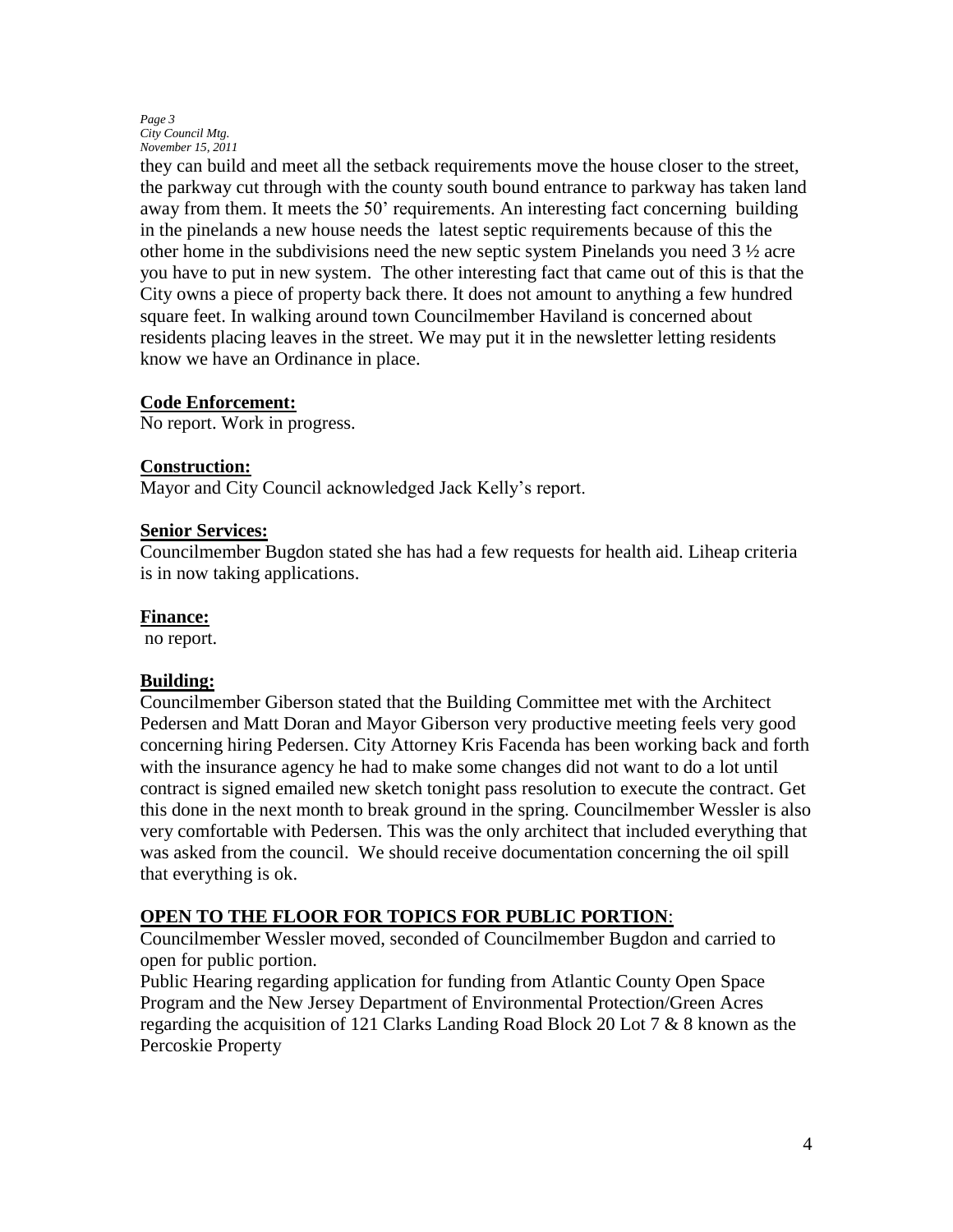#### *Page 3 City Council Mtg. November 15, 2011*

they can build and meet all the setback requirements move the house closer to the street, the parkway cut through with the county south bound entrance to parkway has taken land away from them. It meets the 50' requirements. An interesting fact concerning building in the pinelands a new house needs the latest septic requirements because of this the other home in the subdivisions need the new septic system Pinelands you need  $3\frac{1}{2}$  acre you have to put in new system. The other interesting fact that came out of this is that the City owns a piece of property back there. It does not amount to anything a few hundred square feet. In walking around town Councilmember Haviland is concerned about residents placing leaves in the street. We may put it in the newsletter letting residents know we have an Ordinance in place.

#### **Code Enforcement:**

No report. Work in progress.

#### **Construction:**

Mayor and City Council acknowledged Jack Kelly's report.

#### **Senior Services:**

Councilmember Bugdon stated she has had a few requests for health aid. Liheap criteria is in now taking applications.

#### **Finance:**

no report.

#### **Building:**

Councilmember Giberson stated that the Building Committee met with the Architect Pedersen and Matt Doran and Mayor Giberson very productive meeting feels very good concerning hiring Pedersen. City Attorney Kris Facenda has been working back and forth with the insurance agency he had to make some changes did not want to do a lot until contract is signed emailed new sketch tonight pass resolution to execute the contract. Get this done in the next month to break ground in the spring. Councilmember Wessler is also very comfortable with Pedersen. This was the only architect that included everything that was asked from the council. We should receive documentation concerning the oil spill that everything is ok.

#### **OPEN TO THE FLOOR FOR TOPICS FOR PUBLIC PORTION**:

Councilmember Wessler moved, seconded of Councilmember Bugdon and carried to open for public portion.

Public Hearing regarding application for funding from Atlantic County Open Space Program and the New Jersey Department of Environmental Protection/Green Acres regarding the acquisition of 121 Clarks Landing Road Block 20 Lot 7 & 8 known as the Percoskie Property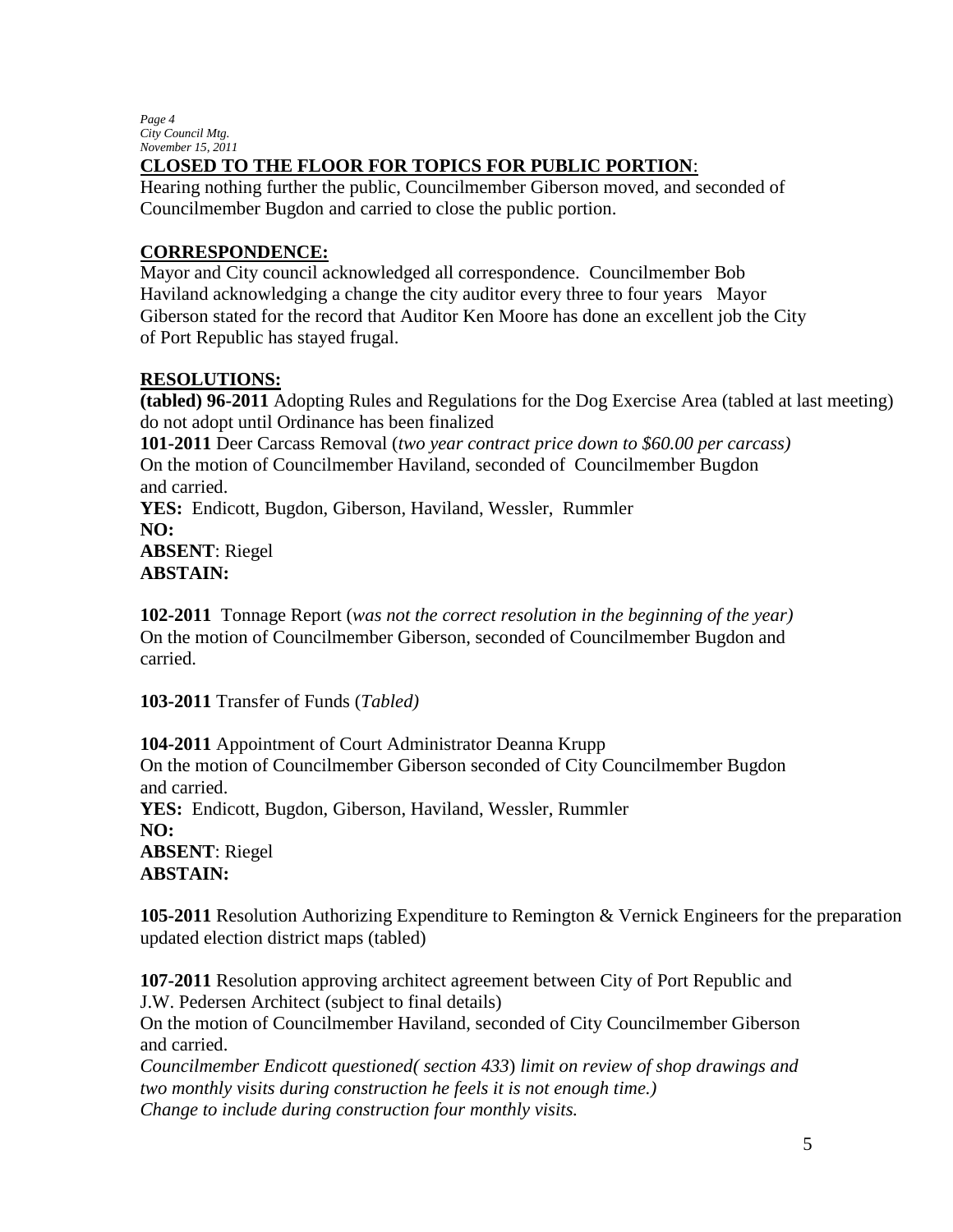*Page 4 City Council Mtg. November 15, 2011*

# **CLOSED TO THE FLOOR FOR TOPICS FOR PUBLIC PORTION**:

Hearing nothing further the public, Councilmember Giberson moved, and seconded of Councilmember Bugdon and carried to close the public portion.

# **CORRESPONDENCE:**

Mayor and City council acknowledged all correspondence. Councilmember Bob Haviland acknowledging a change the city auditor every three to four years Mayor Giberson stated for the record that Auditor Ken Moore has done an excellent job the City of Port Republic has stayed frugal.

# **RESOLUTIONS:**

**(tabled) 96-2011** Adopting Rules and Regulations for the Dog Exercise Area (tabled at last meeting) do not adopt until Ordinance has been finalized

**101-2011** Deer Carcass Removal (*two year contract price down to \$60.00 per carcass)* On the motion of Councilmember Haviland, seconded of Councilmember Bugdon and carried.

**YES:** Endicott, Bugdon, Giberson, Haviland, Wessler, Rummler **NO: ABSENT**: Riegel

# **ABSTAIN:**

**102-2011** Tonnage Report (*was not the correct resolution in the beginning of the year)* On the motion of Councilmember Giberson, seconded of Councilmember Bugdon and carried.

**103-2011** Transfer of Funds (*Tabled)*

**104-2011** Appointment of Court Administrator Deanna Krupp On the motion of Councilmember Giberson seconded of City Councilmember Bugdon and carried. **YES:** Endicott, Bugdon, Giberson, Haviland, Wessler, Rummler **NO: ABSENT**: Riegel **ABSTAIN:** 

**105-2011** Resolution Authorizing Expenditure to Remington & Vernick Engineers for the preparation updated election district maps (tabled)

**107-2011** Resolution approving architect agreement between City of Port Republic and J.W. Pedersen Architect (subject to final details)

On the motion of Councilmember Haviland, seconded of City Councilmember Giberson and carried.

*Councilmember Endicott questioned( section 433*) *limit on review of shop drawings and two monthly visits during construction he feels it is not enough time.) Change to include during construction four monthly visits.*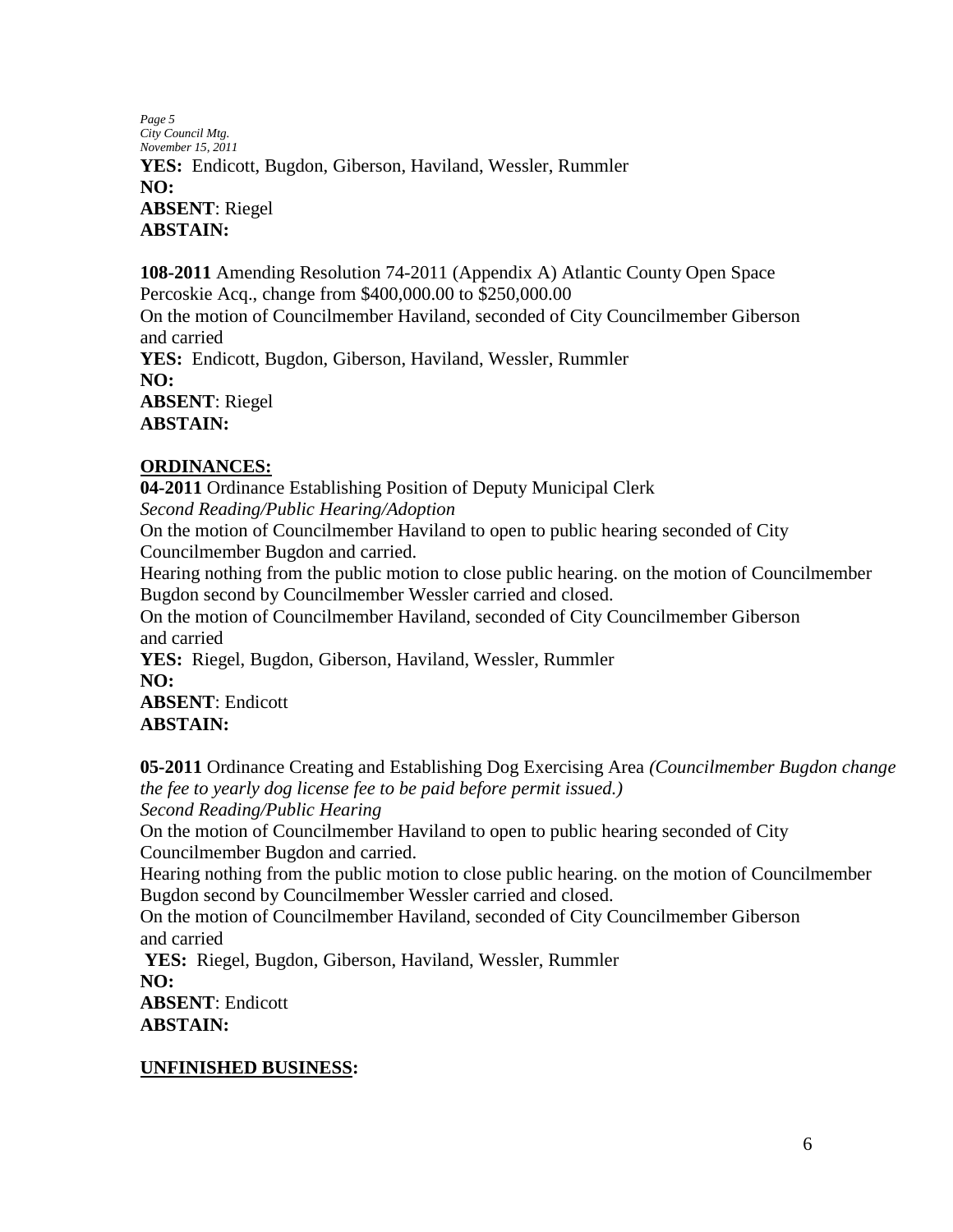*Page 5 City Council Mtg. November 15, 2011* **YES:** Endicott, Bugdon, Giberson, Haviland, Wessler, Rummler **NO: ABSENT**: Riegel **ABSTAIN:** 

**108-2011** Amending Resolution 74-2011 (Appendix A) Atlantic County Open Space Percoskie Acq., change from \$400,000.00 to \$250,000.00

On the motion of Councilmember Haviland, seconded of City Councilmember Giberson and carried

**YES:** Endicott, Bugdon, Giberson, Haviland, Wessler, Rummler **NO: ABSENT**: Riegel

**ABSTAIN:** 

#### **ORDINANCES:**

**04-2011** Ordinance Establishing Position of Deputy Municipal Clerk *Second Reading/Public Hearing/Adoption*

On the motion of Councilmember Haviland to open to public hearing seconded of City Councilmember Bugdon and carried.

Hearing nothing from the public motion to close public hearing. on the motion of Councilmember Bugdon second by Councilmember Wessler carried and closed.

On the motion of Councilmember Haviland, seconded of City Councilmember Giberson and carried

**YES:** Riegel, Bugdon, Giberson, Haviland, Wessler, Rummler **NO: ABSENT**: Endicott **ABSTAIN:** 

**05-2011** Ordinance Creating and Establishing Dog Exercising Area *(Councilmember Bugdon change the fee to yearly dog license fee to be paid before permit issued.) Second Reading/Public Hearing*

On the motion of Councilmember Haviland to open to public hearing seconded of City Councilmember Bugdon and carried.

Hearing nothing from the public motion to close public hearing. on the motion of Councilmember Bugdon second by Councilmember Wessler carried and closed.

On the motion of Councilmember Haviland, seconded of City Councilmember Giberson and carried

**YES:** Riegel, Bugdon, Giberson, Haviland, Wessler, Rummler **NO: ABSENT**: Endicott

**ABSTAIN:** 

# **UNFINISHED BUSINESS:**